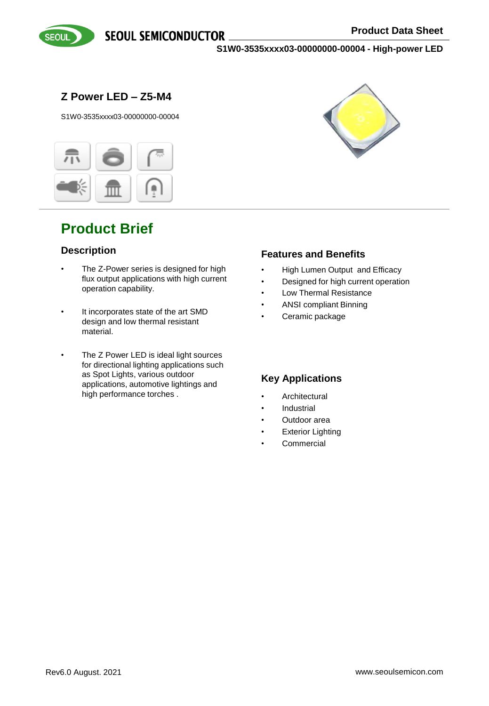



**Z Power LED – Z5-M4**

S1W0-3535xxxx03-00000000-00004



# **Product Brief**

## **Description**

- The Z-Power series is designed for high flux output applications with high current operation capability.
- It incorporates state of the art SMD design and low thermal resistant material.
- The Z Power LED is ideal light sources for directional lighting applications such as Spot Lights, various outdoor applications, automotive lightings and high performance torches .



## **Features and Benefits**

- High Lumen Output and Efficacy
- Designed for high current operation
- Low Thermal Resistance
- ANSI compliant Binning
- Ceramic package

## **Key Applications**

- **Architectural**
- **Industrial**
- Outdoor area
- **Exterior Lighting**
- Commercial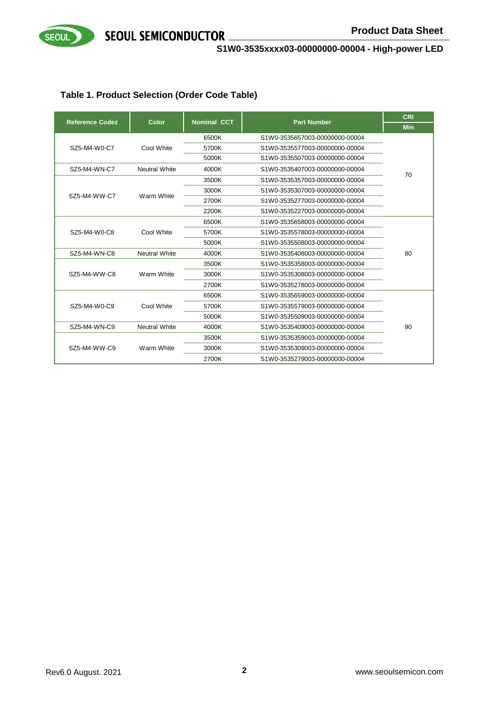

**S1W0-3535xxxx03-00000000-00004 - High-power LED**

## **Table 1. Product Selection (Order Code Table)**

| <b>Reference Codez</b> | Color                | <b>Nominal CCT</b>                      | <b>Part Number</b>             | <b>CRI</b> |
|------------------------|----------------------|-----------------------------------------|--------------------------------|------------|
|                        |                      |                                         |                                | <b>Min</b> |
|                        |                      | 6500K                                   | S1W0-3535657003-00000000-00004 |            |
| SZ5-M4-W0-C7           | Cool White           | 5700K                                   | S1W0-3535577003-00000000-00004 |            |
|                        |                      | 5000K                                   | S1W0-3535507003-00000000-00004 |            |
| SZ5-M4-WN-C7           | <b>Neutral White</b> | 4000K                                   | S1W0-3535407003-00000000-00004 | 70         |
|                        |                      | 3500K                                   | S1W0-3535357003-00000000-00004 |            |
| SZ5-M4-WW-C7           | Warm White           | 3000K                                   | S1W0-3535307003-00000000-00004 |            |
|                        |                      | 2700K                                   | S1W0-3535277003-00000000-00004 |            |
|                        |                      | 2200K                                   | S1W0-3535227003-00000000-00004 |            |
|                        |                      | 6500K                                   | S1W0-3535658003-00000000-00004 |            |
| SZ5-M4-W0-C8           | Cool White           | 5700K                                   | S1W0-3535578003-00000000-00004 |            |
|                        |                      | 5000K                                   | S1W0-3535508003-00000000-00004 |            |
| SZ5-M4-WN-C8           | <b>Neutral White</b> | 4000K                                   | S1W0-3535408003-00000000-00004 | 80         |
|                        |                      | 3500K                                   | S1W0-3535358003-00000000-00004 |            |
| SZ5-M4-WW-C8           | Warm White           | 3000K                                   | S1W0-3535308003-00000000-00004 |            |
|                        |                      | 2700K                                   | S1W0-3535278003-00000000-00004 |            |
|                        |                      | 6500K                                   | S1W0-3535659003-00000000-00004 |            |
| SZ5-M4-W0-C9           | Cool White           | 5700K                                   | S1W0-3535579003-00000000-00004 |            |
|                        |                      | 5000K                                   | S1W0-3535509003-00000000-00004 |            |
| SZ5-M4-WN-C9           | <b>Neutral White</b> | 4000K                                   | S1W0-3535409003-00000000-00004 | 90         |
|                        |                      | 3500K                                   | S1W0-3535359003-00000000-00004 |            |
| SZ5-M4-WW-C9           | Warm White           | 3000K<br>S1W0-3535309003-00000000-00004 |                                |            |
|                        |                      | 2700K                                   | S1W0-3535279003-00000000-00004 |            |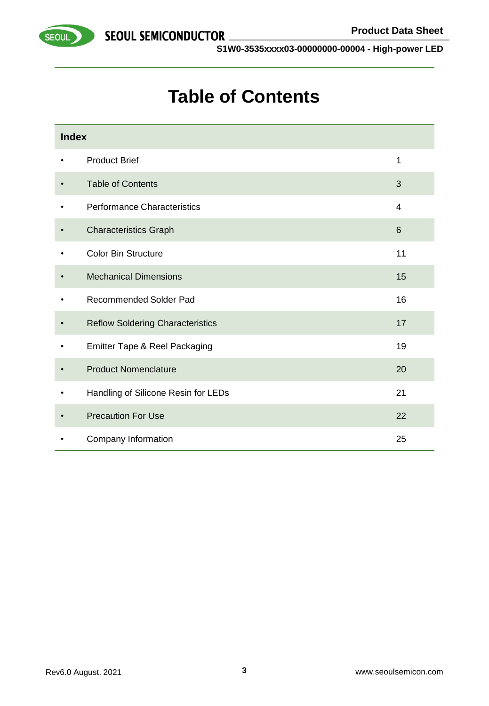

# **Table of Contents**

| <b>Index</b> |                                         |                |
|--------------|-----------------------------------------|----------------|
|              | <b>Product Brief</b>                    | 1              |
|              | <b>Table of Contents</b>                | 3              |
| ٠            | <b>Performance Characteristics</b>      | $\overline{4}$ |
|              | <b>Characteristics Graph</b>            | 6              |
|              | <b>Color Bin Structure</b>              | 11             |
|              | <b>Mechanical Dimensions</b>            | 15             |
|              | <b>Recommended Solder Pad</b>           | 16             |
|              | <b>Reflow Soldering Characteristics</b> | 17             |
|              | Emitter Tape & Reel Packaging           | 19             |
|              | <b>Product Nomenclature</b>             | 20             |
|              | Handling of Silicone Resin for LEDs     | 21             |
|              | <b>Precaution For Use</b>               | 22             |
|              | Company Information                     | 25             |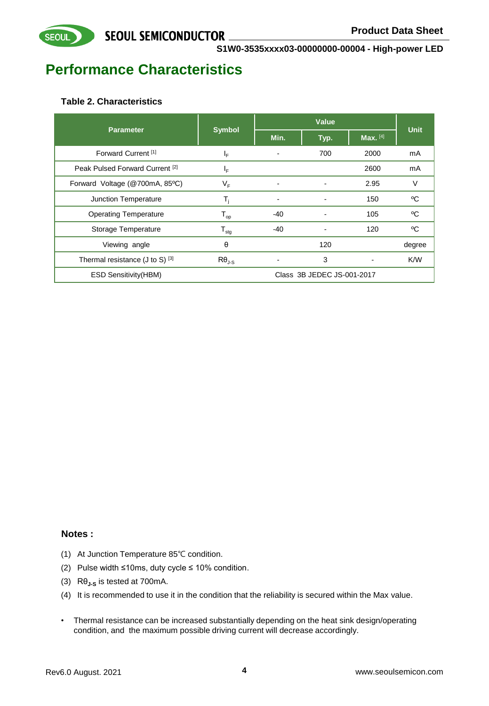# **Performance Characteristics**

## **Table 2. Characteristics**

**SEOUL** 

| <b>Parameter</b>                           | <b>Symbol</b>              |       | Value                      |          | <b>Unit</b> |
|--------------------------------------------|----------------------------|-------|----------------------------|----------|-------------|
|                                            |                            | Min.  | Typ.                       | Max. [4] |             |
| Forward Current <sup>[1]</sup>             | ΙF                         |       | 700                        | 2000     | mA          |
| Peak Pulsed Forward Current <sup>[2]</sup> | ΙF                         |       |                            | 2600     | mA          |
| Forward Voltage (@700mA, 85°C)             | VF                         |       | ۰                          | 2.95     | V           |
| Junction Temperature                       | T,                         |       |                            | 150      | °C          |
| <b>Operating Temperature</b>               | $\mathsf{T}_{\mathsf{op}}$ | $-40$ |                            | 105      | °C          |
| Storage Temperature                        | ${\sf T}_{\sf stg}$        | -40   |                            | 120      | °C          |
| Viewing angle                              | θ                          |       | 120                        |          | degree      |
| Thermal resistance (J to S) [3]            | $R\theta_{J-S}$            |       | 3                          |          | K/W         |
| <b>ESD Sensitivity (HBM)</b>               |                            |       | Class 3B JEDEC JS-001-2017 |          |             |

## **Notes :**

- (1) At Junction Temperature 85℃ condition.
- (2) Pulse width ≤10ms, duty cycle ≤ 10% condition.
- (3) Rθ**J-S** is tested at 700mA.
- (4) It is recommended to use it in the condition that the reliability is secured within the Max value.
- Thermal resistance can be increased substantially depending on the heat sink design/operating condition, and the maximum possible driving current will decrease accordingly.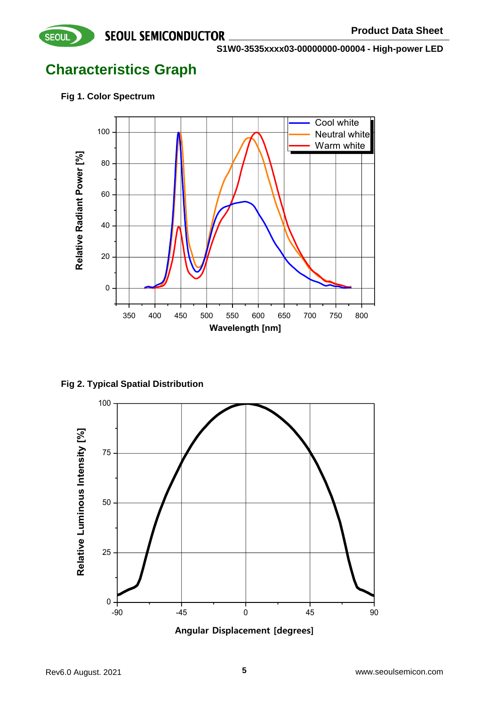**S1W0-3535xxxx03-00000000-00004 - High-power LED**

# **Characteristics Graph**

**Fig 1. Color Spectrum**

**SEOUL** 



**Fig 2. Typical Spatial Distribution**

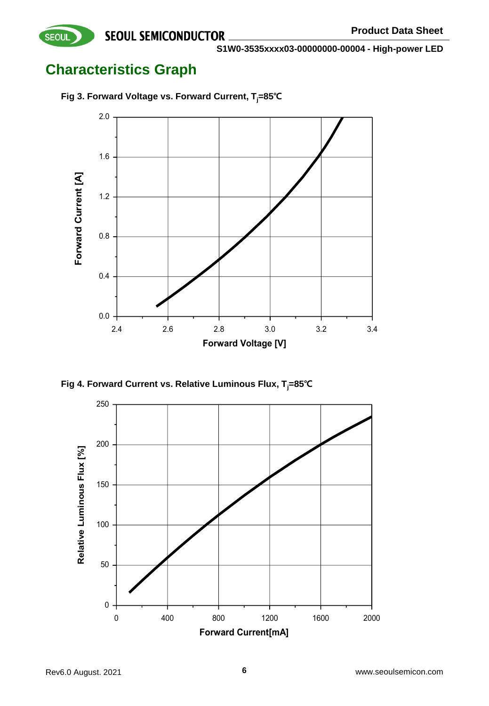# **Characteristics Graph**



**Fig 3. Forward Voltage vs. Forward Current, Tj=85℃**

**Fig 4. Forward Current vs. Relative Luminous Flux, Tj=85℃**

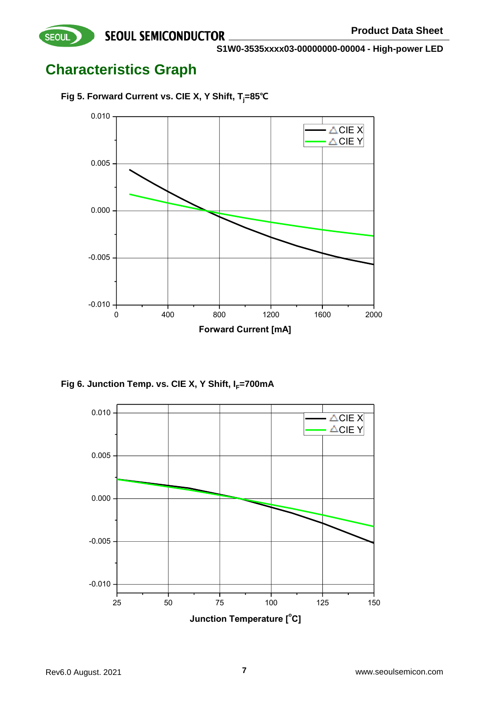

# **Characteristics Graph**

**SEOUL** 

**Fig 5. Forward Current vs. CIE X, Y Shift, Tj=85℃**



Fig 6. Junction Temp. vs. CIE X, Y Shift, I<sub>F</sub>=700mA

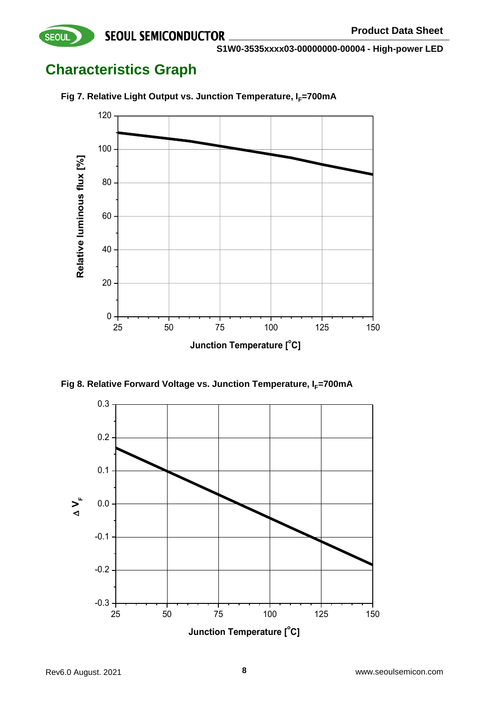**S1W0-3535xxxx03-00000000-00004 - High-power LED**

# **Characteristics Graph**

**SEOUL** 



**Fig 7. Relative Light Output vs. Junction Temperature, I<sub>F</sub>=700mA** 

**Fig 8. Relative Forward Voltage vs. Junction Temperature, I<sub>F</sub>=700mA** 

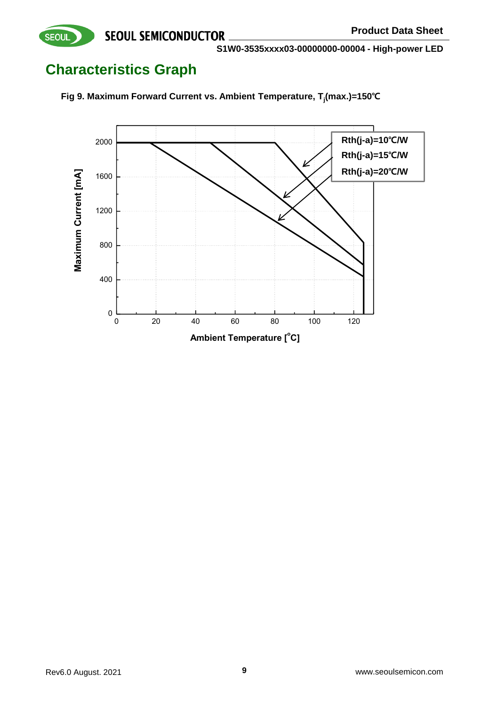**S1W0-3535xxxx03-00000000-00004 - High-power LED**

# **Characteristics Graph**

**SEOUL** 



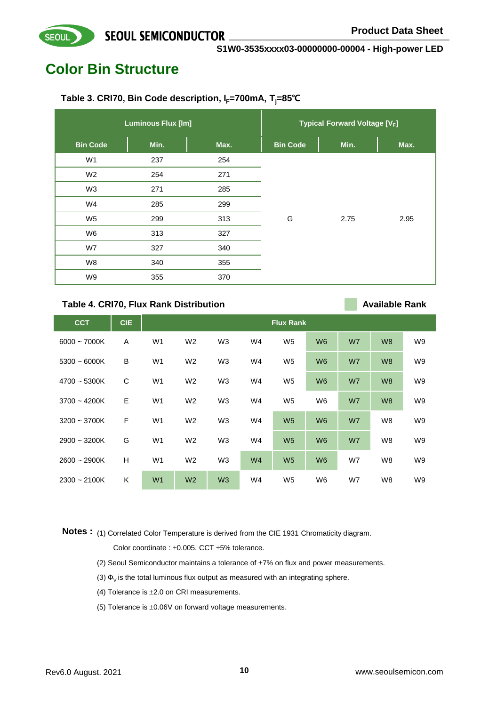# **Color Bin Structure**

**SEOUL** 

## **Table 3. CRI70, Bin Code description, IF=700mA, Tj=85℃**

|                 | <b>Luminous Flux [lm]</b> |      |                 | <b>Typical Forward Voltage [VF]</b> |      |
|-----------------|---------------------------|------|-----------------|-------------------------------------|------|
| <b>Bin Code</b> | Min.                      | Max. | <b>Bin Code</b> | Min.                                | Max. |
| W <sub>1</sub>  | 237                       | 254  |                 |                                     |      |
| W <sub>2</sub>  | 254                       | 271  |                 |                                     |      |
| W <sub>3</sub>  | 271                       | 285  |                 |                                     |      |
| W4              | 285                       | 299  |                 |                                     |      |
| W <sub>5</sub>  | 299                       | 313  | G               | 2.75                                | 2.95 |
| W6              | 313                       | 327  |                 |                                     |      |
| W7              | 327                       | 340  |                 |                                     |      |
| W8              | 340                       | 355  |                 |                                     |      |
| W9              | 355                       | 370  |                 |                                     |      |

#### **Table 4. CRI70, Flux Rank Distribution**

**Available Rank**

| <b>CCT</b>     | <b>CIE</b> |                |                |                |                | <b>Flux Rank</b> |                |    |                |                |
|----------------|------------|----------------|----------------|----------------|----------------|------------------|----------------|----|----------------|----------------|
| $6000 - 7000K$ | A          | W <sub>1</sub> | W <sub>2</sub> | W <sub>3</sub> | W4             | W <sub>5</sub>   | W <sub>6</sub> | W7 | W <sub>8</sub> | W9             |
| $5300 - 6000K$ | B          | W <sub>1</sub> | W <sub>2</sub> | W <sub>3</sub> | W4             | W <sub>5</sub>   | W <sub>6</sub> | W7 | W <sub>8</sub> | W <sub>9</sub> |
| 4700 ~ 5300K   | C          | W <sub>1</sub> | W <sub>2</sub> | W <sub>3</sub> | W4             | W <sub>5</sub>   | W <sub>6</sub> | W7 | W <sub>8</sub> | W <sub>9</sub> |
| $3700 - 4200K$ | E          | W <sub>1</sub> | W <sub>2</sub> | W <sub>3</sub> | W4             | W <sub>5</sub>   | W <sub>6</sub> | W7 | W <sub>8</sub> | W9             |
| $3200 - 3700K$ | F          | W <sub>1</sub> | W <sub>2</sub> | W <sub>3</sub> | W4             | W <sub>5</sub>   | W <sub>6</sub> | W7 | W8             | W <sub>9</sub> |
| $2900 - 3200K$ | G          | W <sub>1</sub> | W <sub>2</sub> | W <sub>3</sub> | W4             | W <sub>5</sub>   | W <sub>6</sub> | W7 | W8             | W <sub>9</sub> |
| $2600 - 2900K$ | H          | W <sub>1</sub> | W <sub>2</sub> | W3             | W <sub>4</sub> | W <sub>5</sub>   | W <sub>6</sub> | W7 | W8             | W9             |
| $2300 - 2100K$ | K          | W <sub>1</sub> | W <sub>2</sub> | W <sub>3</sub> | W4             | W <sub>5</sub>   | W <sub>6</sub> | W7 | W8             | W <sub>9</sub> |

Notes: (1) Correlated Color Temperature is derived from the CIE 1931 Chromaticity diagram. Color coordinate :  $\pm 0.005$ , CCT  $\pm 5%$  tolerance.

- (2) Seoul Semiconductor maintains a tolerance of  $\pm 7\%$  on flux and power measurements.
- (3)  $\Phi_{\rm V}$  is the total luminous flux output as measured with an integrating sphere.
- (4) Tolerance is  $\pm 2.0$  on CRI measurements.
- (5) Tolerance is  $\pm 0.06V$  on forward voltage measurements.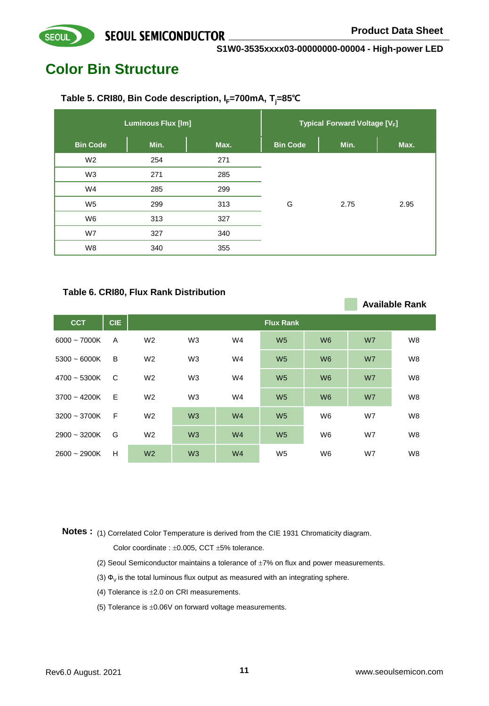**Available Rank**

**S1W0-3535xxxx03-00000000-00004 - High-power LED**

# **Color Bin Structure**

**SEOUL** 

## **Table 5. CRI80, Bin Code description, IF=700mA, Tj=85℃**

|                 | <b>Luminous Flux [lm]</b> |      |                 | <b>Typical Forward Voltage [VF]</b> |      |
|-----------------|---------------------------|------|-----------------|-------------------------------------|------|
| <b>Bin Code</b> | Min.                      | Max. | <b>Bin Code</b> | Min.                                | Max. |
| W <sub>2</sub>  | 254                       | 271  |                 |                                     |      |
| W <sub>3</sub>  | 271                       | 285  |                 |                                     |      |
| W4              | 285                       | 299  |                 |                                     |      |
| W <sub>5</sub>  | 299                       | 313  | G               | 2.75                                | 2.95 |
| W6              | 313                       | 327  |                 |                                     |      |
| W7              | 327                       | 340  |                 |                                     |      |
| W8              | 340                       | 355  |                 |                                     |      |

## **Table 6. CRI80, Flux Rank Distribution**

| <b>CCT</b>     | <b>CIE</b> |                |                |                | <b>Flux Rank</b> |                |    |                |
|----------------|------------|----------------|----------------|----------------|------------------|----------------|----|----------------|
| $6000 - 7000K$ | A          | W <sub>2</sub> | W <sub>3</sub> | W4             | W <sub>5</sub>   | W <sub>6</sub> | W7 | W <sub>8</sub> |
| $5300 - 6000K$ | B          | W <sub>2</sub> | W <sub>3</sub> | W4             | W <sub>5</sub>   | W <sub>6</sub> | W7 | W <sub>8</sub> |
| $4700 - 5300K$ | C          | W <sub>2</sub> | W <sub>3</sub> | W4             | W <sub>5</sub>   | W <sub>6</sub> | W7 | W <sub>8</sub> |
| $3700 - 4200K$ | E          | W <sub>2</sub> | W <sub>3</sub> | W4             | W <sub>5</sub>   | W <sub>6</sub> | W7 | W <sub>8</sub> |
| $3200 - 3700K$ | F          | W <sub>2</sub> | W <sub>3</sub> | W <sub>4</sub> | W <sub>5</sub>   | W <sub>6</sub> | W7 | W <sub>8</sub> |
| $2900 - 3200K$ | G          | W <sub>2</sub> | W <sub>3</sub> | W <sub>4</sub> | W <sub>5</sub>   | W <sub>6</sub> | W7 | W <sub>8</sub> |
| $2600 - 2900K$ | н          | W <sub>2</sub> | W3             | W <sub>4</sub> | W <sub>5</sub>   | W <sub>6</sub> | W7 | W <sub>8</sub> |

Notes: (1) Correlated Color Temperature is derived from the CIE 1931 Chromaticity diagram. Color coordinate :  $\pm 0.005$ , CCT  $\pm 5%$  tolerance.

- (2) Seoul Semiconductor maintains a tolerance of  $\pm 7\%$  on flux and power measurements.
- (3)  $\Phi_{\rm V}$  is the total luminous flux output as measured with an integrating sphere.
- (4) Tolerance is  $\pm 2.0$  on CRI measurements.
- (5) Tolerance is  $\pm 0.06V$  on forward voltage measurements.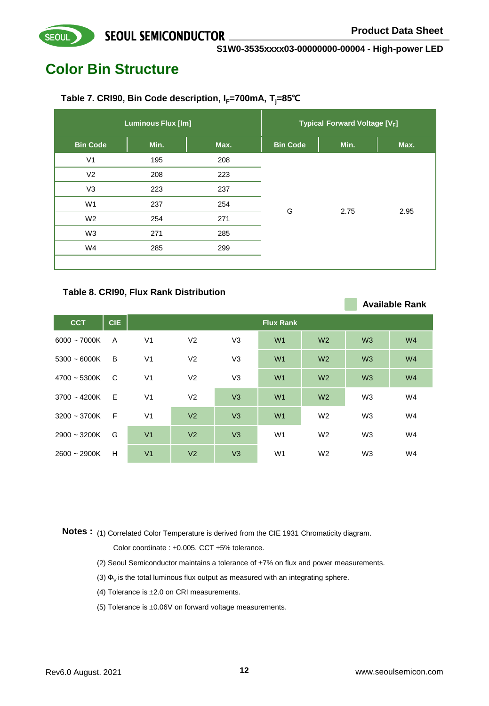**Available Rank**

#### **S1W0-3535xxxx03-00000000-00004 - High-power LED**

# **Color Bin Structure**

**SEOUL** 

## Table 7. CRI90, Bin Code description, I<sub>F</sub>=700mA, T<sub>i</sub>=85℃

|                 | <b>Luminous Flux [lm]</b> |      |                 | <b>Typical Forward Voltage [VF]</b> |      |
|-----------------|---------------------------|------|-----------------|-------------------------------------|------|
| <b>Bin Code</b> | Min.                      | Max. | <b>Bin Code</b> | Min.                                | Max. |
| V <sub>1</sub>  | 195                       | 208  |                 |                                     |      |
| V <sub>2</sub>  | 208                       | 223  |                 |                                     |      |
| V <sub>3</sub>  | 223                       | 237  |                 |                                     |      |
| W <sub>1</sub>  | 237                       | 254  |                 |                                     |      |
| W <sub>2</sub>  | 254                       | 271  | G               | 2.75                                | 2.95 |
| W <sub>3</sub>  | 271                       | 285  |                 |                                     |      |
| W4              | 285                       | 299  |                 |                                     |      |
|                 |                           |      |                 |                                     |      |

#### **Table 8. CRI90, Flux Rank Distribution**

| <b>CCT</b>     | <b>CIE</b> |                |                |                | <b>Flux Rank</b> |                |                |                |
|----------------|------------|----------------|----------------|----------------|------------------|----------------|----------------|----------------|
| $6000 - 7000K$ | A          | V <sub>1</sub> | V <sub>2</sub> | V <sub>3</sub> | W <sub>1</sub>   | W <sub>2</sub> | W3             | W <sub>4</sub> |
| $5300 - 6000K$ | B          | V <sub>1</sub> | V <sub>2</sub> | V <sub>3</sub> | W <sub>1</sub>   | W <sub>2</sub> | W3             | W <sub>4</sub> |
| $4700 - 5300K$ | - C        | V <sub>1</sub> | V <sub>2</sub> | V <sub>3</sub> | W <sub>1</sub>   | W <sub>2</sub> | W3             | W <sub>4</sub> |
| $3700 - 4200K$ | - E        | V <sub>1</sub> | V <sub>2</sub> | V3             | W <sub>1</sub>   | W <sub>2</sub> | W <sub>3</sub> | W4             |
| $3200 - 3700K$ | - F        | V <sub>1</sub> | V <sub>2</sub> | V <sub>3</sub> | W <sub>1</sub>   | W <sub>2</sub> | W <sub>3</sub> | W4             |
| $2900 - 3200K$ | G          | V <sub>1</sub> | V <sub>2</sub> | V <sub>3</sub> | W <sub>1</sub>   | W <sub>2</sub> | W <sub>3</sub> | W4             |
| $2600 - 2900K$ | H          | V <sub>1</sub> | V <sub>2</sub> | V <sub>3</sub> | W <sub>1</sub>   | W <sub>2</sub> | W <sub>3</sub> | W4             |

Notes: (1) Correlated Color Temperature is derived from the CIE 1931 Chromaticity diagram. Color coordinate :  $\pm 0.005$ , CCT  $\pm 5%$  tolerance.

- (2) Seoul Semiconductor maintains a tolerance of  $\pm 7\%$  on flux and power measurements.
- (3)  $\Phi_{\rm V}$  is the total luminous flux output as measured with an integrating sphere.
- (4) Tolerance is  $\pm 2.0$  on CRI measurements.
- (5) Tolerance is  $\pm 0.06V$  on forward voltage measurements.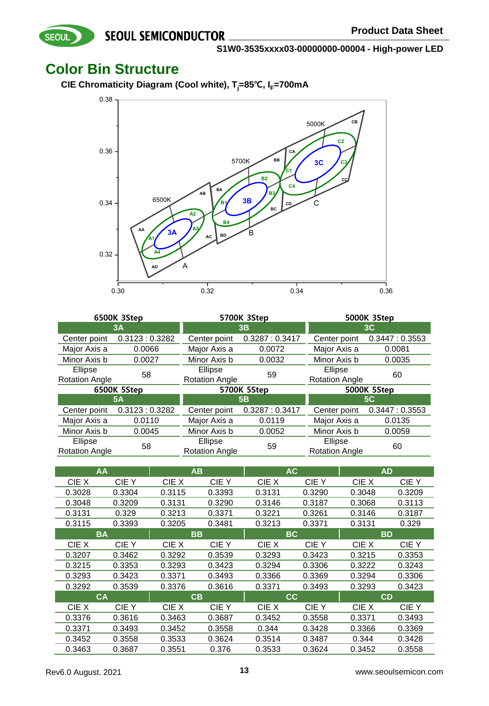**S1W0-3535xxxx03-00000000-00004 - High-power LED**

## **Color Bin Structure**

SEOUL

**CIE Chromaticity Diagram (Cool white), Tj=85℃, IF=700mA**



|                       | 6500K 3Step   |                                        | 5700K 3Step   | 5000K 3Step                      |               |  |
|-----------------------|---------------|----------------------------------------|---------------|----------------------------------|---------------|--|
|                       | <b>3A</b>     | 3B                                     |               |                                  | 3C            |  |
| Center point          | 0.3123:0.3282 | Center point                           | 0.3287:0.3417 | Center point                     | 0.3447:0.3553 |  |
| Major Axis a          | 0.0066        | Major Axis a                           | 0.0072        | Major Axis a                     | 0.0081        |  |
| Minor Axis b          | 0.0027        | Minor Axis b                           | 0.0032        | Minor Axis b                     | 0.0035        |  |
| Ellipse               | 58            | Ellipse<br>59<br><b>Rotation Angle</b> |               | Ellipse                          | 60            |  |
| <b>Rotation Angle</b> |               |                                        |               | <b>Rotation Angle</b>            |               |  |
|                       |               | 5700K 5Step                            |               |                                  |               |  |
|                       | 6500K 5Step   |                                        |               |                                  | 5000K 5Step   |  |
|                       | <b>5A</b>     |                                        | 5Β            |                                  | <b>5C</b>     |  |
| Center point          | 0.3123:0.3282 | Center point                           | 0.3287:0.3417 | Center point                     | 0.3447:0.3553 |  |
| Major Axis a          | 0.0110        | Major Axis a                           | 0.0119        | Major Axis a                     | 0.0135        |  |
| Minor Axis b          | 0.0045        | Minor Axis b                           | 0.0052        | Minor Axis b                     | 0.0059        |  |
| Ellipse               | 58            | Ellipse                                | 59            | Ellipse<br><b>Rotation Angle</b> | 60            |  |

| AA     |           |           | ΑВ     |        | <b>AC</b> |           | <b>AD</b> |
|--------|-----------|-----------|--------|--------|-----------|-----------|-----------|
| CIE X  | CIE Y     | CIE X     | CIE Y  | CIE X  | CIE Y     | CIE X     | CIE Y     |
| 0.3028 | 0.3304    | 0.3115    | 0.3393 | 0.3131 | 0.3290    | 0.3048    | 0.3209    |
| 0.3048 | 0.3209    | 0.3131    | 0.3290 | 0.3146 | 0.3187    | 0.3068    | 0.3113    |
| 0.3131 | 0.329     | 0.3213    | 0.3371 | 0.3221 | 0.3261    | 0.3146    | 0.3187    |
| 0.3115 | 0.3393    | 0.3205    | 0.3481 | 0.3213 | 0.3371    | 0.3131    | 0.329     |
|        | <b>BA</b> | <b>BB</b> |        |        | BC.       | <b>BD</b> |           |
| CIE X  | CIE Y     | CIE X     | CIE Y  | CIE X  | CIE Y     | CIE X     | CIE Y     |
| 0.3207 | 0.3462    | 0.3292    | 0.3539 | 0.3293 | 0.3423    | 0.3215    | 0.3353    |
| 0.3215 | 0.3353    | 0.3293    | 0.3423 | 0.3294 | 0.3306    | 0.3222    | 0.3243    |
| 0.3293 | 0.3423    | 0.3371    | 0.3493 | 0.3366 | 0.3369    | 0.3294    | 0.3306    |
| 0.3292 | 0.3539    | 0.3376    | 0.3616 | 0.3371 | 0.3493    | 0.3293    | 0.3423    |
|        | <b>CA</b> | CB        |        |        | <b>CC</b> | <b>CD</b> |           |
| CIE X  | CIE Y     | CIE X     | CIE Y  | CIE X  | CIE Y     | CIE X     | CIE Y     |
| 0.3376 | 0.3616    | 0.3463    | 0.3687 | 0.3452 | 0.3558    | 0.3371    | 0.3493    |
| 0.3371 | 0.3493    | 0.3452    | 0.3558 | 0.344  | 0.3428    | 0.3366    | 0.3369    |
| 0.3452 | 0.3558    | 0.3533    | 0.3624 | 0.3514 | 0.3487    | 0.344     | 0.3428    |
| 0.3463 | 0.3687    | 0.3551    | 0.376  | 0.3533 | 0.3624    | 0.3452    | 0.3558    |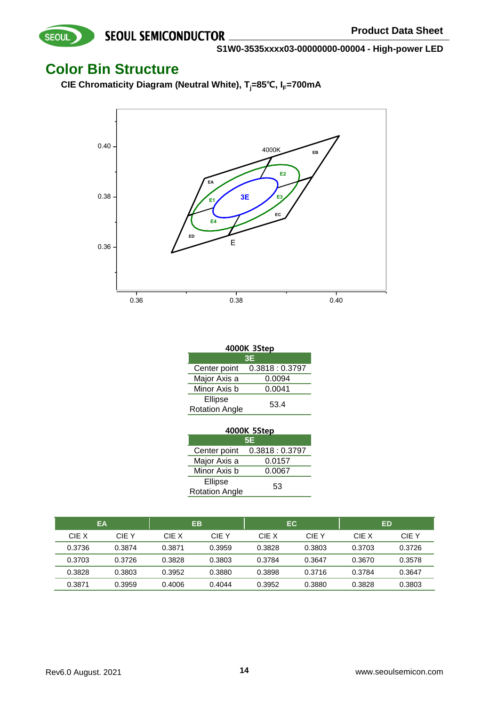**S1W0-3535xxxx03-00000000-00004 - High-power LED**

## **Color Bin Structure**

SEOUL

**CIE Chromaticity Diagram (Neutral White), Tj=85℃, IF=700mA**



| 4000K 3Step           |               |  |  |  |  |
|-----------------------|---------------|--|--|--|--|
| 3E                    |               |  |  |  |  |
| Center point          | 0.3818:0.3797 |  |  |  |  |
| Major Axis a          | 0.0094        |  |  |  |  |
| Minor Axis b          | 0.0041        |  |  |  |  |
| Ellipse               | 53.4          |  |  |  |  |
| <b>Rotation Angle</b> |               |  |  |  |  |

| 4000K 5Step                 |               |  |  |  |  |
|-----------------------------|---------------|--|--|--|--|
| 5E                          |               |  |  |  |  |
| Center point                | 0.3818:0.3797 |  |  |  |  |
| Major Axis a<br>0.0157      |               |  |  |  |  |
| Minor Axis b<br>0.0067      |               |  |  |  |  |
| Ellipse                     |               |  |  |  |  |
| 53<br><b>Rotation Angle</b> |               |  |  |  |  |

| EA     |        |        | EB     | EC.    |        |        | ED     |
|--------|--------|--------|--------|--------|--------|--------|--------|
| CIE X  | CIF Y  | CIE X  | CIE Y  | CIF X  | CIE Y  | CIE X  | CIE Y  |
| 0.3736 | 0.3874 | 0.3871 | 0.3959 | 0.3828 | 0.3803 | 0.3703 | 0.3726 |
| 0.3703 | 0.3726 | 0.3828 | 0.3803 | 0.3784 | 0.3647 | 0.3670 | 0.3578 |
| 0.3828 | 0.3803 | 0.3952 | 0.3880 | 0.3898 | 0.3716 | 0.3784 | 0.3647 |
| 0.3871 | 0.3959 | 0.4006 | 0.4044 | 0.3952 | 0.3880 | 0.3828 | 0.3803 |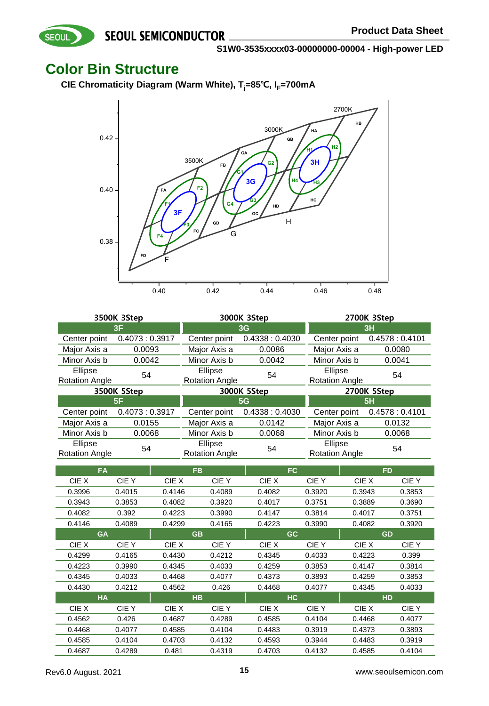**S1W0-3535xxxx03-00000000-00004 - High-power LED**

## **Color Bin Structure**

SEOUL

**CIE Chromaticity Diagram (Warm White), Tj=85℃, IF=700mA**



| 3500K 3Step                      |               |                                  | 3000K 3Step   | 2700K 3Step                      |               |  |  |
|----------------------------------|---------------|----------------------------------|---------------|----------------------------------|---------------|--|--|
|                                  | 3F            | 3 <sub>G</sub>                   |               | 3H                               |               |  |  |
| Center point                     | 0.4073:0.3917 | Center point                     | 0.4338:0.4030 | Center point                     | 0.4578:0.4101 |  |  |
| Major Axis a                     | 0.0093        | Major Axis a                     | 0.0086        | Major Axis a                     | 0.0080        |  |  |
| Minor Axis b                     | 0.0042        | Minor Axis b                     | 0.0042        | Minor Axis b                     | 0.0041        |  |  |
| Ellipse<br><b>Rotation Angle</b> | 54            | Ellipse<br><b>Rotation Angle</b> | 54            | Ellipse<br><b>Rotation Angle</b> | 54            |  |  |
|                                  | 3500K 5Step   |                                  | 3000K 5Step   |                                  | 2700K 5Step   |  |  |
|                                  | 5F            |                                  | 5G            |                                  | 5H            |  |  |
| Center point                     | 0.4073:0.3917 | Center point                     | 0.4338:0.4030 | Center point                     | 0.4578:0.4101 |  |  |
| Major Axis a                     | 0.0155        | Major Axis a                     | 0.0142        | Major Axis a                     | 0.0132        |  |  |
| Minor Axis b                     | 0.0068        | Minor Axis b                     | 0.0068        | Minor Axis b                     | 0.0068        |  |  |
| Ellipse<br><b>Rotation Angle</b> | 54            | Ellipse<br><b>Rotation Angle</b> | 54            | Ellipse<br><b>Rotation Angle</b> | 54            |  |  |

|        | <b>FA</b>   |        | <b>FB</b> | FC.       |             | <b>FD</b> |             |
|--------|-------------|--------|-----------|-----------|-------------|-----------|-------------|
| CIE X  | CIE Y       | CIE X  | CIE Y     | CIE X     | CIE Y       | CIE X     | CIE Y       |
| 0.3996 | 0.4015      | 0.4146 | 0.4089    | 0.4082    | 0.3920      | 0.3943    | 0.3853      |
| 0.3943 | 0.3853      | 0.4082 | 0.3920    | 0.4017    | 0.3751      | 0.3889    | 0.3690      |
| 0.4082 | 0.392       | 0.4223 | 0.3990    | 0.4147    | 0.3814      | 0.4017    | 0.3751      |
| 0.4146 | 0.4089      | 0.4299 | 0.4165    | 0.4223    | 0.3990      | 0.4082    | 0.3920      |
|        | <b>GA</b>   |        | <b>GB</b> | GC.       |             | <b>GD</b> |             |
| CIE X  | <b>CIEY</b> | CIE X  | CIE Y     | CIE X     | <b>CIEY</b> | CIE X     | <b>CIEY</b> |
| 0.4299 | 0.4165      | 0.4430 | 0.4212    | 0.4345    | 0.4033      | 0.4223    | 0.399       |
| 0.4223 | 0.3990      | 0.4345 | 0.4033    | 0.4259    | 0.3853      | 0.4147    | 0.3814      |
| 0.4345 | 0.4033      | 0.4468 | 0.4077    | 0.4373    | 0.3893      | 0.4259    | 0.3853      |
| 0.4430 | 0.4212      | 0.4562 | 0.426     | 0.4468    | 0.4077      | 0.4345    | 0.4033      |
|        | <b>HA</b>   |        | <b>HB</b> | <b>HC</b> |             | <b>HD</b> |             |
| CIE X  | CIE Y       | CIE X  | CIE Y     | CIE X     | CIE Y       | CIE X     | CIE Y       |
| 0.4562 | 0.426       | 0.4687 | 0.4289    | 0.4585    | 0.4104      | 0.4468    | 0.4077      |
| 0.4468 | 0.4077      | 0.4585 | 0.4104    | 0.4483    | 0.3919      | 0.4373    | 0.3893      |
| 0.4585 | 0.4104      | 0.4703 | 0.4132    | 0.4593    | 0.3944      | 0.4483    | 0.3919      |
| 0.4687 | 0.4289      | 0.481  | 0.4319    | 0.4703    | 0.4132      | 0.4585    | 0.4104      |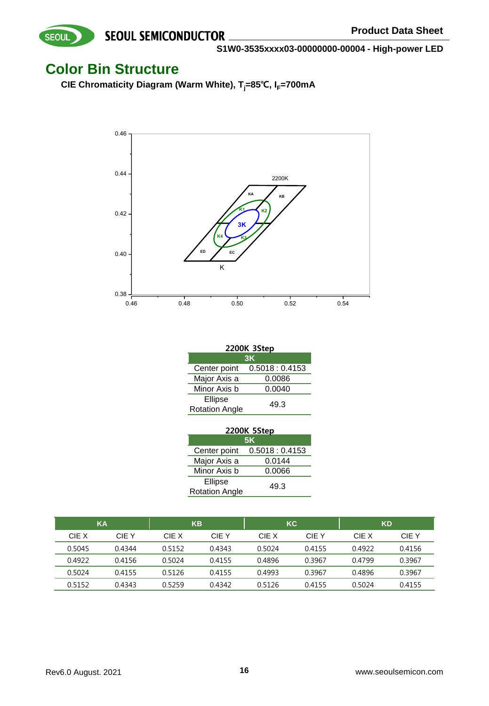## **Color Bin Structure**

SEOUL

**CIE Chromaticity Diagram (Warm White), Tj=85℃, IF=700mA**



| 2200K 3Step                   |               |  |  |  |  |
|-------------------------------|---------------|--|--|--|--|
| 3K                            |               |  |  |  |  |
| Center point                  | 0.5018:0.4153 |  |  |  |  |
| Major Axis a                  | 0.0086        |  |  |  |  |
| Minor Axis b                  | 0.0040        |  |  |  |  |
| Ellipse                       |               |  |  |  |  |
| 49.3<br><b>Rotation Angle</b> |               |  |  |  |  |

| 2200K 5Step                   |               |  |  |  |  |  |
|-------------------------------|---------------|--|--|--|--|--|
| <b>5K</b>                     |               |  |  |  |  |  |
| Center point                  | 0.5018:0.4153 |  |  |  |  |  |
| Major Axis a                  | 0.0144        |  |  |  |  |  |
| Minor Axis b                  | 0.0066        |  |  |  |  |  |
| Ellipse                       |               |  |  |  |  |  |
| 49.3<br><b>Rotation Angle</b> |               |  |  |  |  |  |

| KA     |        |        | <b>KB</b> | <b>KC</b> |        |        | <b>KD</b> |
|--------|--------|--------|-----------|-----------|--------|--------|-----------|
| CIE X  | CIF Y  | CIF X  | CIE Y     | CIF X     | CIE Y  | CIE X  | CIE Y     |
| 0.5045 | 0.4344 | 0.5152 | 0.4343    | 0.5024    | 0.4155 | 0.4922 | 0.4156    |
| 0.4922 | 0.4156 | 0.5024 | 0.4155    | 0.4896    | 0.3967 | 0.4799 | 0.3967    |
| 0.5024 | 0.4155 | 0.5126 | 0.4155    | 0.4993    | 0.3967 | 0.4896 | 0.3967    |
| 0.5152 | 0.4343 | 0.5259 | 0.4342    | 0.5126    | 0.4155 | 0.5024 | 0.4155    |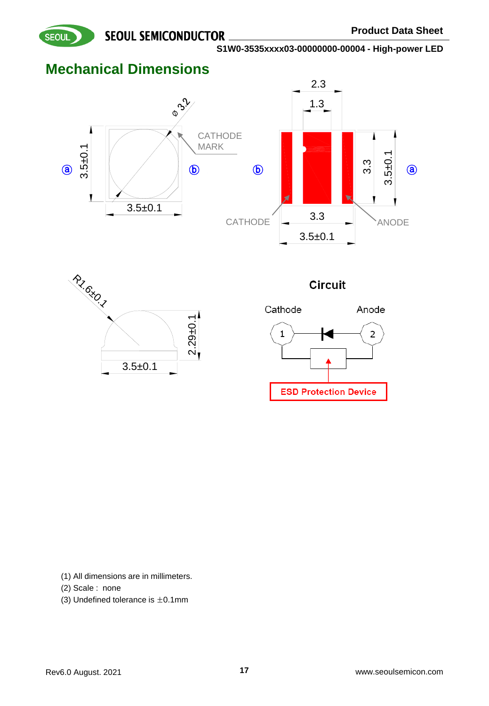

# **Mechanical Dimensions**









(1) All dimensions are in millimeters.

(2) Scale : none

(3) Undefined tolerance is  $\pm 0.1$ mm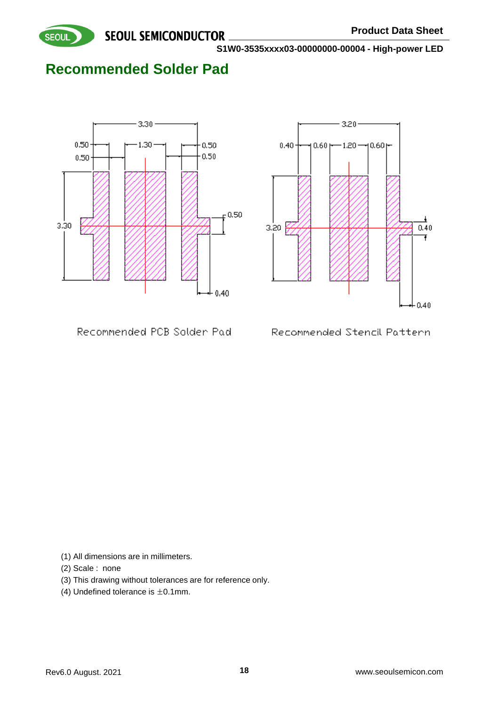

# **Recommended Solder Pad**





Recommended PCB Solder Pad

Recommended Stencil Pattern

(1) All dimensions are in millimeters.

- (2) Scale : none
- (3) This drawing without tolerances are for reference only.
- (4) Undefined tolerance is  $\pm 0.1$ mm.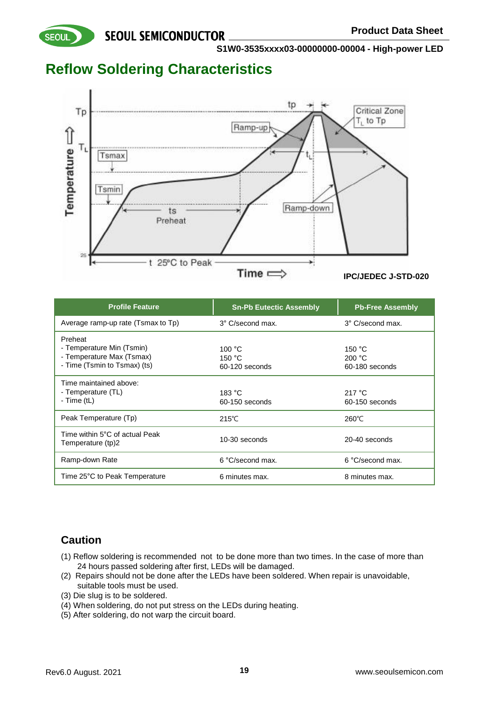**S1W0-3535xxxx03-00000000-00004 - High-power LED**

## **Reflow Soldering Characteristics**

**SEOUL** 



| <b>Profile Feature</b>                                                                            | <b>Sn-Pb Eutectic Assembly</b>     | <b>Pb-Free Assembly</b>                      |
|---------------------------------------------------------------------------------------------------|------------------------------------|----------------------------------------------|
| Average ramp-up rate (Tsmax to Tp)                                                                | 3° C/second max.                   | 3° C/second max.                             |
| Preheat<br>- Temperature Min (Tsmin)<br>- Temperature Max (Tsmax)<br>- Time (Tsmin to Tsmax) (ts) | 100 °C<br>150 °C<br>60-120 seconds | 150 $^{\circ}$ C<br>200 °C<br>60-180 seconds |
| Time maintained above:<br>- Temperature (TL)<br>- Time $(tL)$                                     | 183 °C<br>60-150 seconds           | 217 $\degree$ C<br>60-150 seconds            |
| Peak Temperature (Tp)                                                                             | $215^{\circ}$ C                    | 260°C                                        |
| Time within 5°C of actual Peak<br>Temperature (tp)2                                               | 10-30 seconds                      | 20-40 seconds                                |
| Ramp-down Rate                                                                                    | 6 °C/second max.                   | 6 °C/second max.                             |
| Time 25°C to Peak Temperature                                                                     | 6 minutes max.                     | 8 minutes max.                               |

## **Caution**

- (1) Reflow soldering is recommended not to be done more than two times. In the case of more than 24 hours passed soldering after first, LEDs will be damaged.
- (2) Repairs should not be done after the LEDs have been soldered. When repair is unavoidable, suitable tools must be used.
- (3) Die slug is to be soldered.
- (4) When soldering, do not put stress on the LEDs during heating.
- (5) After soldering, do not warp the circuit board.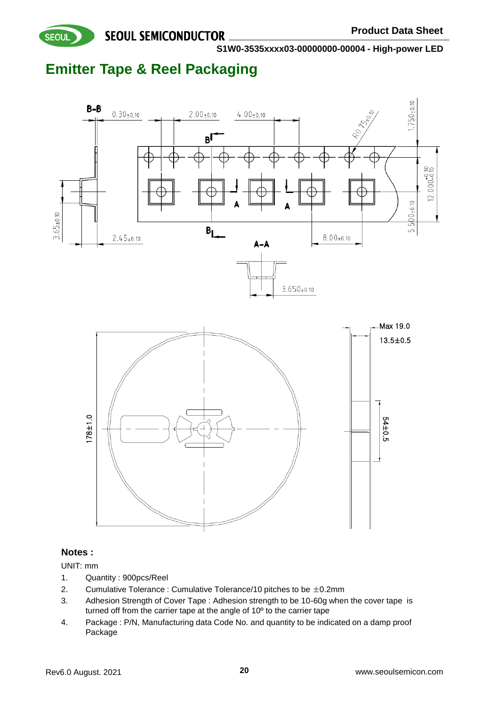

**S1W0-3535xxxx03-00000000-00004 - High-power LED**

# **Emitter Tape & Reel Packaging**



UNIT: mm

- 1. Quantity : 900pcs/Reel
- 2. Cumulative Tolerance : Cumulative Tolerance/10 pitches to be  $\pm$ 0.2mm
- 3. Adhesion Strength of Cover Tape : Adhesion strength to be 10-60g when the cover tape is turned off from the carrier tape at the angle of 10º to the carrier tape
- 4. Package : P/N, Manufacturing data Code No. and quantity to be indicated on a damp proof Package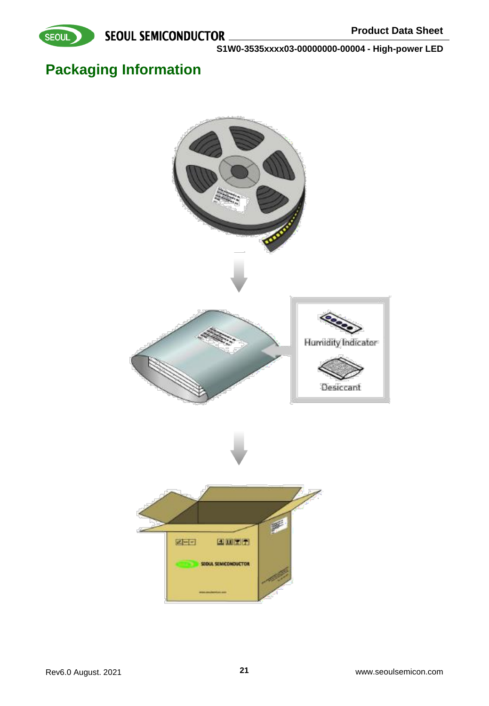



# **Packaging Information**

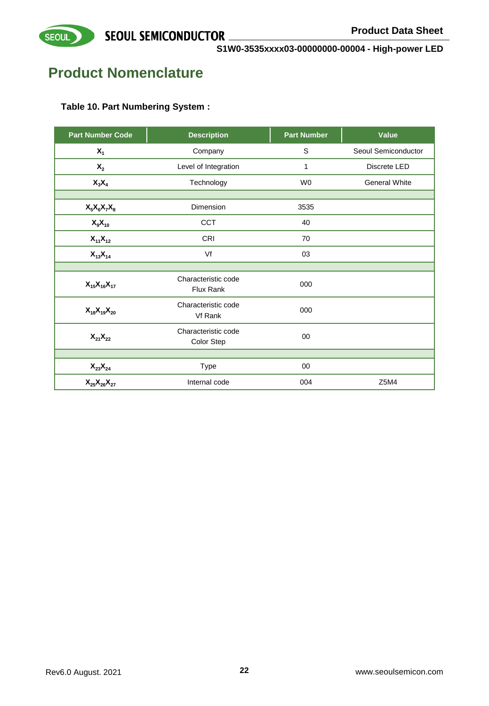

# **Product Nomenclature**

## **Table 10. Part Numbering System :**

| <b>Part Number Code</b>          | <b>Description</b>                | <b>Part Number</b> | Value                |
|----------------------------------|-----------------------------------|--------------------|----------------------|
| $X_1$                            | Company                           | S                  | Seoul Semiconductor  |
| $\mathsf{X}_2$                   | Level of Integration              | 1                  | Discrete LED         |
| $X_3X_4$                         | Technology                        | W <sub>0</sub>     | <b>General White</b> |
|                                  |                                   |                    |                      |
| $X_5X_6X_7X_8$                   | <b>Dimension</b>                  | 3535               |                      |
| $X_9X_{10}$                      | CCT                               | 40                 |                      |
| $X_{11}X_{12}$                   | CRI                               | 70                 |                      |
| $X_{13}X_{14}$                   | Vf                                |                    |                      |
|                                  |                                   |                    |                      |
| $X_{15}X_{16}X_{17}$             | Characteristic code<br>Flux Rank  | 000                |                      |
| $X_{18}X_{19}X_{20}$             | Characteristic code<br>Vf Rank    | 000                |                      |
| $\mathsf{X}_{21}\mathsf{X}_{22}$ | Characteristic code<br>Color Step | 00                 |                      |
|                                  |                                   |                    |                      |
| $\mathsf{X}_{23}\mathsf{X}_{24}$ | Type                              | 00                 |                      |
| $X_{25}X_{26}X_{27}$             | Internal code                     | 004                | Z5M4                 |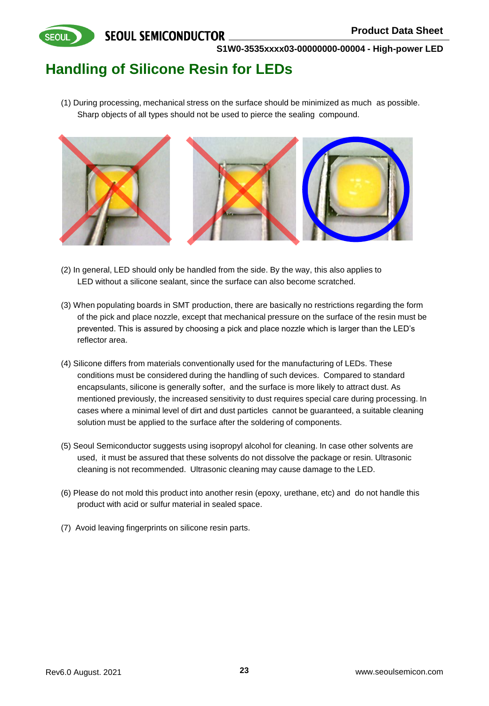**SEOUL** 

**S1W0-3535xxxx03-00000000-00004 - High-power LED**

# **Handling of Silicone Resin for LEDs**

(1) During processing, mechanical stress on the surface should be minimized as much as possible. Sharp objects of all types should not be used to pierce the sealing compound.



- (2) In general, LED should only be handled from the side. By the way, this also applies to LED without a silicone sealant, since the surface can also become scratched.
- (3) When populating boards in SMT production, there are basically no restrictions regarding the form of the pick and place nozzle, except that mechanical pressure on the surface of the resin must be prevented. This is assured by choosing a pick and place nozzle which is larger than the LED's reflector area.
- (4) Silicone differs from materials conventionally used for the manufacturing of LEDs. These conditions must be considered during the handling of such devices. Compared to standard encapsulants, silicone is generally softer, and the surface is more likely to attract dust. As mentioned previously, the increased sensitivity to dust requires special care during processing. In cases where a minimal level of dirt and dust particles cannot be guaranteed, a suitable cleaning solution must be applied to the surface after the soldering of components.
- (5) Seoul Semiconductor suggests using isopropyl alcohol for cleaning. In case other solvents are used, it must be assured that these solvents do not dissolve the package or resin. Ultrasonic cleaning is not recommended. Ultrasonic cleaning may cause damage to the LED.
- (6) Please do not mold this product into another resin (epoxy, urethane, etc) and do not handle this product with acid or sulfur material in sealed space.
- (7) Avoid leaving fingerprints on silicone resin parts.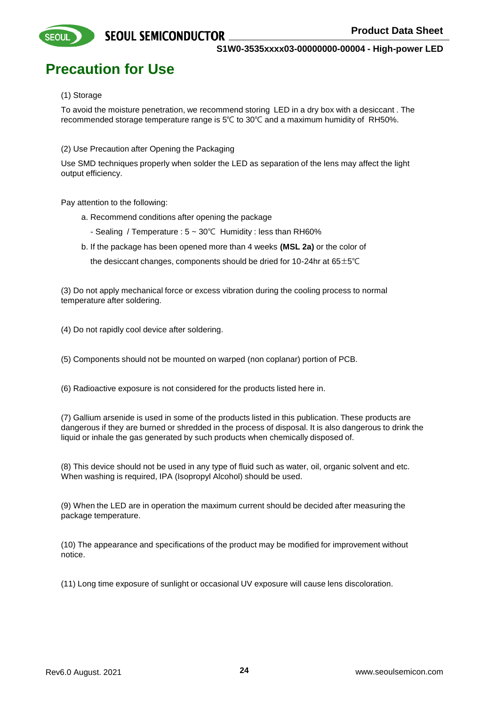# **Precaution for Use**

#### (1) Storage

**SEOUI** 

To avoid the moisture penetration, we recommend storing LED in a dry box with a desiccant . The recommended storage temperature range is 5℃ to 30℃ and a maximum humidity of RH50%.

(2) Use Precaution after Opening the Packaging

Use SMD techniques properly when solder the LED as separation of the lens may affect the light output efficiency.

Pay attention to the following:

- a. Recommend conditions after opening the package
	- Sealing / Temperature : 5 ~ 30℃ Humidity : less than RH60%
- b. If the package has been opened more than 4 weeks **(MSL 2a)** or the color of the desiccant changes, components should be dried for 10-24hr at  $65\pm5^{\circ}$ C

(3) Do not apply mechanical force or excess vibration during the cooling process to normal temperature after soldering.

(4) Do not rapidly cool device after soldering.

(5) Components should not be mounted on warped (non coplanar) portion of PCB.

(6) Radioactive exposure is not considered for the products listed here in.

(7) Gallium arsenide is used in some of the products listed in this publication. These products are dangerous if they are burned or shredded in the process of disposal. It is also dangerous to drink the liquid or inhale the gas generated by such products when chemically disposed of.

(8) This device should not be used in any type of fluid such as water, oil, organic solvent and etc. When washing is required, IPA (Isopropyl Alcohol) should be used.

(9) When the LED are in operation the maximum current should be decided after measuring the package temperature.

(10) The appearance and specifications of the product may be modified for improvement without notice.

(11) Long time exposure of sunlight or occasional UV exposure will cause lens discoloration.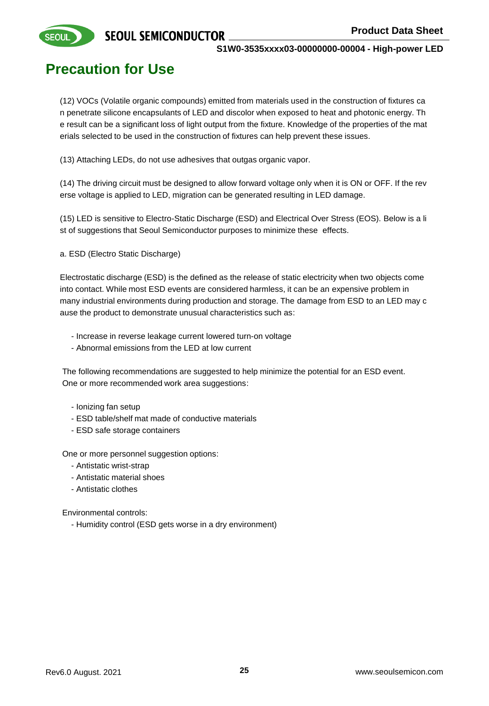

**SEOUI** 

**S1W0-3535xxxx03-00000000-00004 - High-power LED**

# **Precaution for Use**

(12) VOCs (Volatile organic compounds) emitted from materials used in the construction of fixtures ca n penetrate silicone encapsulants of LED and discolor when exposed to heat and photonic energy. Th e result can be a significant loss of light output from the fixture. Knowledge of the properties of the mat erials selected to be used in the construction of fixtures can help prevent these issues.

(13) Attaching LEDs, do not use adhesives that outgas organic vapor.

(14) The driving circuit must be designed to allow forward voltage only when it is ON or OFF. If the rev erse voltage is applied to LED, migration can be generated resulting in LED damage.

(15) LED is sensitive to Electro-Static Discharge (ESD) and Electrical Over Stress (EOS). Below is a li st of suggestions that Seoul Semiconductor purposes to minimize these effects.

a. ESD (Electro Static Discharge)

Electrostatic discharge (ESD) is the defined as the release of static electricity when two objects come into contact. While most ESD events are considered harmless, it can be an expensive problem in many industrial environments during production and storage. The damage from ESD to an LED may c ause the product to demonstrate unusual characteristics such as:

- Increase in reverse leakage current lowered turn-on voltage
- Abnormal emissions from the LED at low current

The following recommendations are suggested to help minimize the potential for an ESD event. One or more recommended work area suggestions:

- Ionizing fan setup
- ESD table/shelf mat made of conductive materials
- ESD safe storage containers

One or more personnel suggestion options:

- Antistatic wrist-strap
- Antistatic material shoes
- Antistatic clothes

Environmental controls:

- Humidity control (ESD gets worse in a dry environment)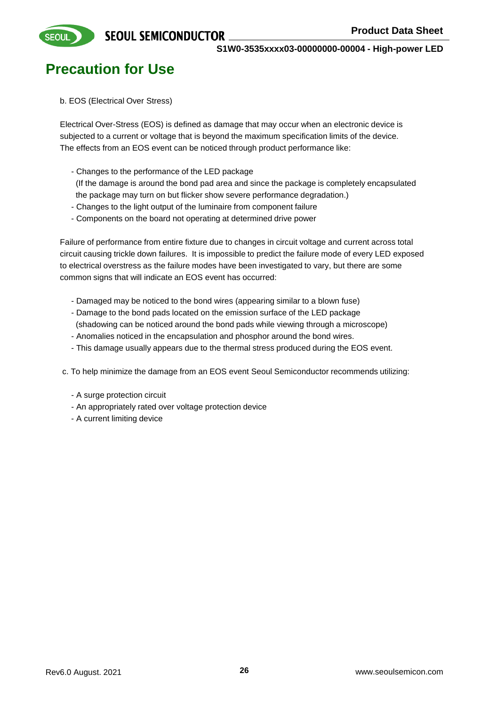

**SEOUI** 

**S1W0-3535xxxx03-00000000-00004 - High-power LED**

# **Precaution for Use**

b. EOS (Electrical Over Stress)

Electrical Over-Stress (EOS) is defined as damage that may occur when an electronic device is subjected to a current or voltage that is beyond the maximum specification limits of the device. The effects from an EOS event can be noticed through product performance like:

- Changes to the performance of the LED package

(If the damage is around the bond pad area and since the package is completely encapsulated the package may turn on but flicker show severe performance degradation.)

- Changes to the light output of the luminaire from component failure
- Components on the board not operating at determined drive power

Failure of performance from entire fixture due to changes in circuit voltage and current across total circuit causing trickle down failures. It is impossible to predict the failure mode of every LED exposed to electrical overstress as the failure modes have been investigated to vary, but there are some common signs that will indicate an EOS event has occurred:

- Damaged may be noticed to the bond wires (appearing similar to a blown fuse)
- Damage to the bond pads located on the emission surface of the LED package
- (shadowing can be noticed around the bond pads while viewing through a microscope) - Anomalies noticed in the encapsulation and phosphor around the bond wires.
- This damage usually appears due to the thermal stress produced during the EOS event.

c. To help minimize the damage from an EOS event Seoul Semiconductor recommends utilizing:

- A surge protection circuit
- An appropriately rated over voltage protection device
- A current limiting device